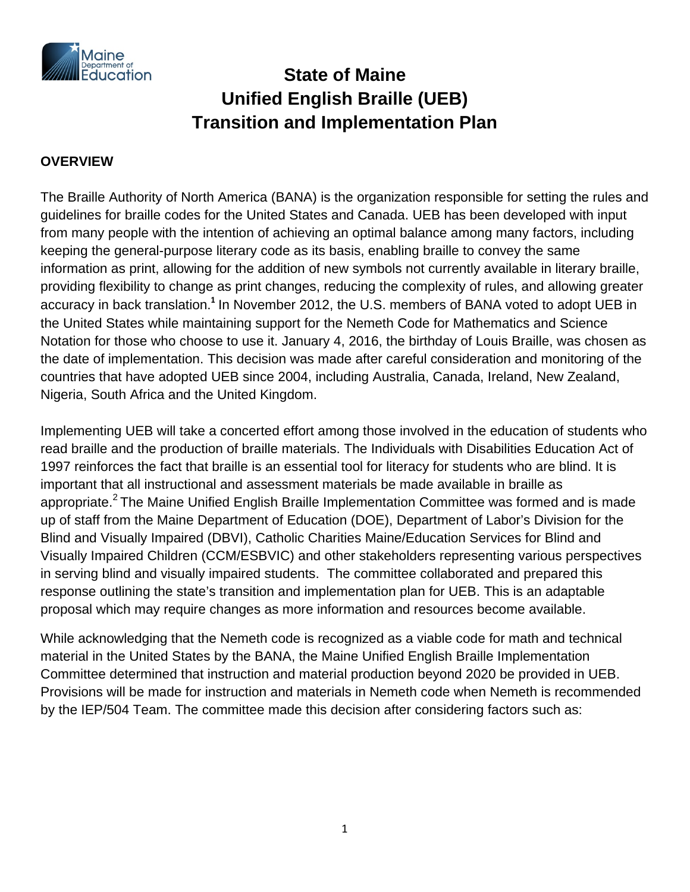

# **State of Maine Unified English Braille (UEB) Transition and Implementation Plan**

### **OVERVIEW**

The Braille Authority of North America (BANA) is the organization responsible for setting the rules and guidelines for braille codes for the United States and Canada. UEB has been developed with input from many people with the intention of achieving an optimal balance among many factors, including keeping the general-purpose literary code as its basis, enabling braille to convey the same information as print, allowing for the addition of new symbols not currently available in literary braille, providing flexibility to change as print changes, reducing the complexity of rules, and allowing greater accuracy in back translation.<sup>1</sup> In November 2012, the U.S. members of BANA voted to adopt UEB in the United States while maintaining support for the Nemeth Code for Mathematics and Science Notation for those who choose to use it. January 4, 2016, the birthday of Louis Braille, was chosen as the date of implementation. This decision was made after careful consideration and monitoring of the countries that have adopted UEB since 2004, including Australia, Canada, Ireland, New Zealand, Nigeria, South Africa and the United Kingdom.

Implementing UEB will take a concerted effort among those involved in the education of students who read braille and the production of braille materials. The Individuals with Disabilities Education Act of 1997 reinforces the fact that braille is an essential tool for literacy for students who are blind. It is important that all instructional and assessment materials be made available in braille as appropriate.<sup>2</sup> The Maine Unified English Braille Implementation Committee was formed and is made up of staff from the Maine Department of Education (DOE), Department of Labor's Division for the Blind and Visually Impaired (DBVI), Catholic Charities Maine/Education Services for Blind and Visually Impaired Children (CCM/ESBVIC) and other stakeholders representing various perspectives in serving blind and visually impaired students. The committee collaborated and prepared this response outlining the state's transition and implementation plan for UEB. This is an adaptable proposal which may require changes as more information and resources become available.

While acknowledging that the Nemeth code is recognized as a viable code for math and technical material in the United States by the BANA, the Maine Unified English Braille Implementation Committee determined that instruction and material production beyond 2020 be provided in UEB. Provisions will be made for instruction and materials in Nemeth code when Nemeth is recommended by the IEP/504 Team. The committee made this decision after considering factors such as: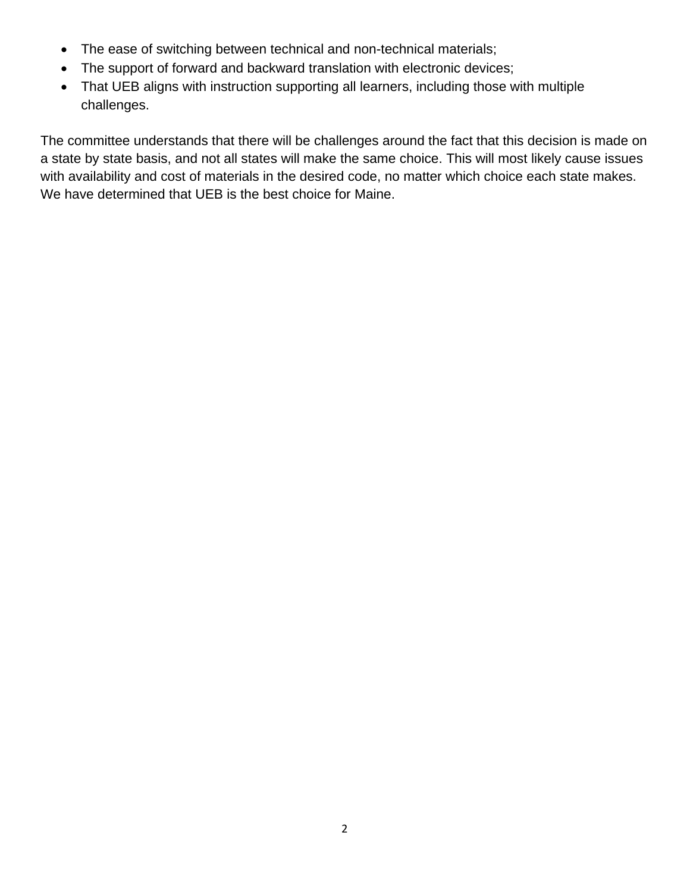- The ease of switching between technical and non-technical materials;
- The support of forward and backward translation with electronic devices;
- That UEB aligns with instruction supporting all learners, including those with multiple challenges.

The committee understands that there will be challenges around the fact that this decision is made on a state by state basis, and not all states will make the same choice. This will most likely cause issues with availability and cost of materials in the desired code, no matter which choice each state makes. We have determined that UEB is the best choice for Maine.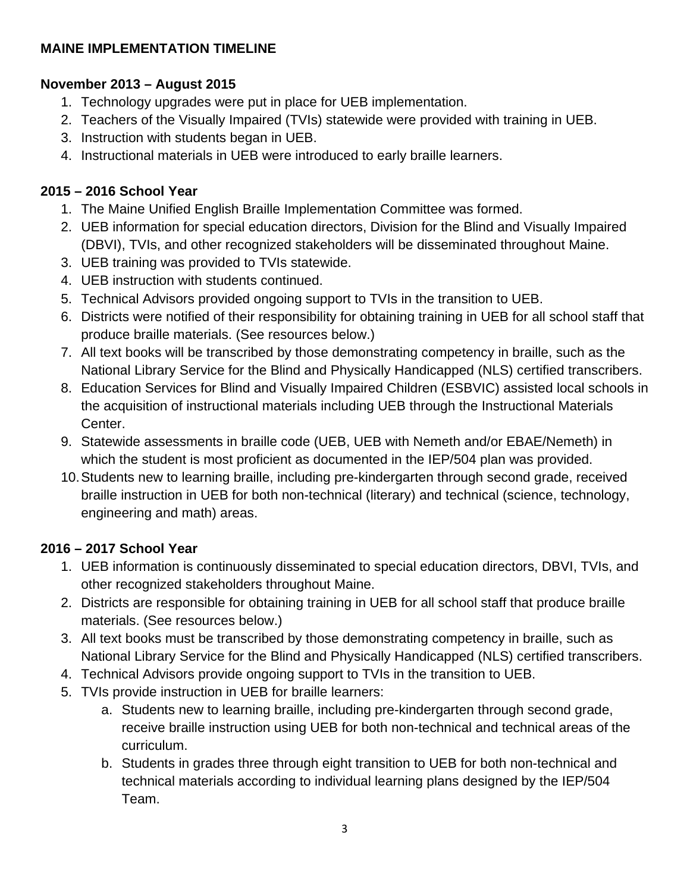### **MAINE IMPLEMENTATION TIMELINE**

### **November 2013 – August 2015**

- 1. Technology upgrades were put in place for UEB implementation.
- 2. Teachers of the Visually Impaired (TVIs) statewide were provided with training in UEB.
- 3. Instruction with students began in UEB.
- 4. Instructional materials in UEB were introduced to early braille learners.

### **2015 – 2016 School Year**

- 1. The Maine Unified English Braille Implementation Committee was formed.
- 2. UEB information for special education directors, Division for the Blind and Visually Impaired (DBVI), TVIs, and other recognized stakeholders will be disseminated throughout Maine.
- 3. UEB training was provided to TVIs statewide.
- 4. UEB instruction with students continued.
- 5. Technical Advisors provided ongoing support to TVIs in the transition to UEB.
- 6. Districts were notified of their responsibility for obtaining training in UEB for all school staff that produce braille materials. (See resources below.)
- 7. All text books will be transcribed by those demonstrating competency in braille, such as the National Library Service for the Blind and Physically Handicapped (NLS) certified transcribers.
- 8. Education Services for Blind and Visually Impaired Children (ESBVIC) assisted local schools in the acquisition of instructional materials including UEB through the Instructional Materials Center.
- 9. Statewide assessments in braille code (UEB, UEB with Nemeth and/or EBAE/Nemeth) in which the student is most proficient as documented in the IEP/504 plan was provided.
- 10.Students new to learning braille, including pre-kindergarten through second grade, received braille instruction in UEB for both non-technical (literary) and technical (science, technology, engineering and math) areas.

### **2016 – 2017 School Year**

- 1. UEB information is continuously disseminated to special education directors, DBVI, TVIs, and other recognized stakeholders throughout Maine.
- 2. Districts are responsible for obtaining training in UEB for all school staff that produce braille materials. (See resources below.)
- 3. All text books must be transcribed by those demonstrating competency in braille, such as National Library Service for the Blind and Physically Handicapped (NLS) certified transcribers.
- 4. Technical Advisors provide ongoing support to TVIs in the transition to UEB.
- 5. TVIs provide instruction in UEB for braille learners:
	- a. Students new to learning braille, including pre-kindergarten through second grade, receive braille instruction using UEB for both non-technical and technical areas of the curriculum.
	- b. Students in grades three through eight transition to UEB for both non-technical and technical materials according to individual learning plans designed by the IEP/504 Team.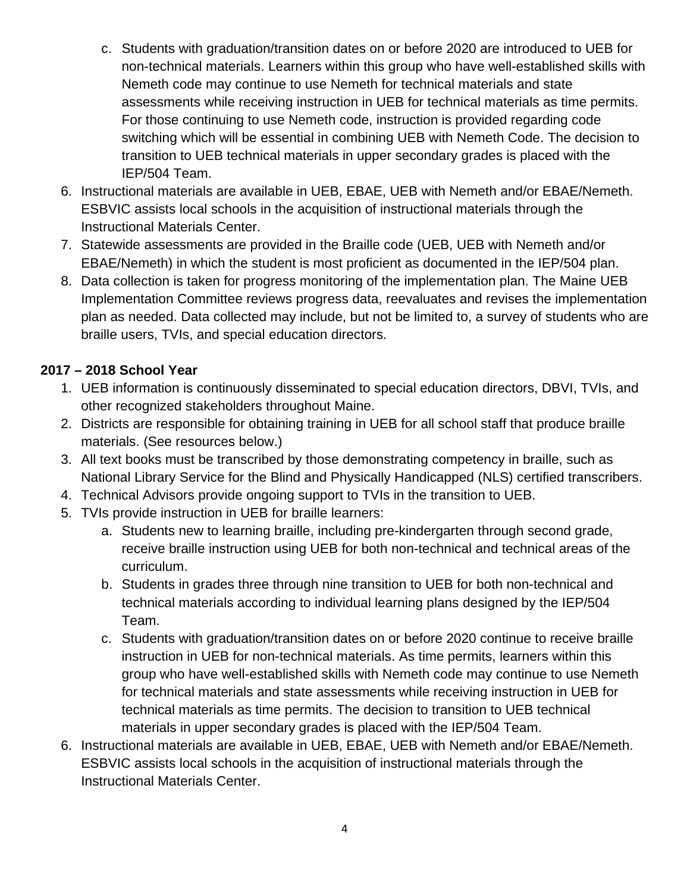- c. Students with graduation/transition dates on or before 2020 are introduced to UEB for non-technical materials. Learners within this group who have well-established skills with Nemeth code may continue to use Nemeth for technical materials and state assessments while receiving instruction in UEB for technical materials as time permits. For those continuing to use Nemeth code, instruction is provided regarding code switching which will be essential in combining UEB with Nemeth Code. The decision to transition to UEB technical materials in upper secondary grades is placed with the IEP/504 Team.
- 6. Instructional materials are available in UEB, EBAE, UEB with Nemeth and/or EBAE/Nemeth. ESBVIC assists local schools in the acquisition of instructional materials through the Instructional Materials Center.
- 7. Statewide assessments are provided in the Braille code (UEB, UEB with Nemeth and/or EBAE/Nemeth) in which the student is most proficient as documented in the IEP/504 plan.
- 8. Data collection is taken for progress monitoring of the implementation plan. The Maine UEB Implementation Committee reviews progress data, reevaluates and revises the implementation plan as needed. Data collected may include, but not be limited to, a survey of students who are braille users, TVIs, and special education directors.

### **2017 – 2018 School Year**

- 1. UEB information is continuously disseminated to special education directors, DBVI, TVIs, and other recognized stakeholders throughout Maine.
- 2. Districts are responsible for obtaining training in UEB for all school staff that produce braille materials. (See resources below.)
- 3. All text books must be transcribed by those demonstrating competency in braille, such as National Library Service for the Blind and Physically Handicapped (NLS) certified transcribers.
- 4. Technical Advisors provide ongoing support to TVIs in the transition to UEB.
- 5. TVIs provide instruction in UEB for braille learners:
	- a. Students new to learning braille, including pre-kindergarten through second grade, receive braille instruction using UEB for both non-technical and technical areas of the curriculum.
	- b. Students in grades three through nine transition to UEB for both non-technical and technical materials according to individual learning plans designed by the IEP/504 Team.
	- c. Students with graduation/transition dates on or before 2020 continue to receive braille instruction in UEB for non-technical materials. As time permits, learners within this group who have well-established skills with Nemeth code may continue to use Nemeth for technical materials and state assessments while receiving instruction in UEB for technical materials as time permits. The decision to transition to UEB technical materials in upper secondary grades is placed with the IEP/504 Team.
- 6. Instructional materials are available in UEB, EBAE, UEB with Nemeth and/or EBAE/Nemeth. ESBVIC assists local schools in the acquisition of instructional materials through the Instructional Materials Center.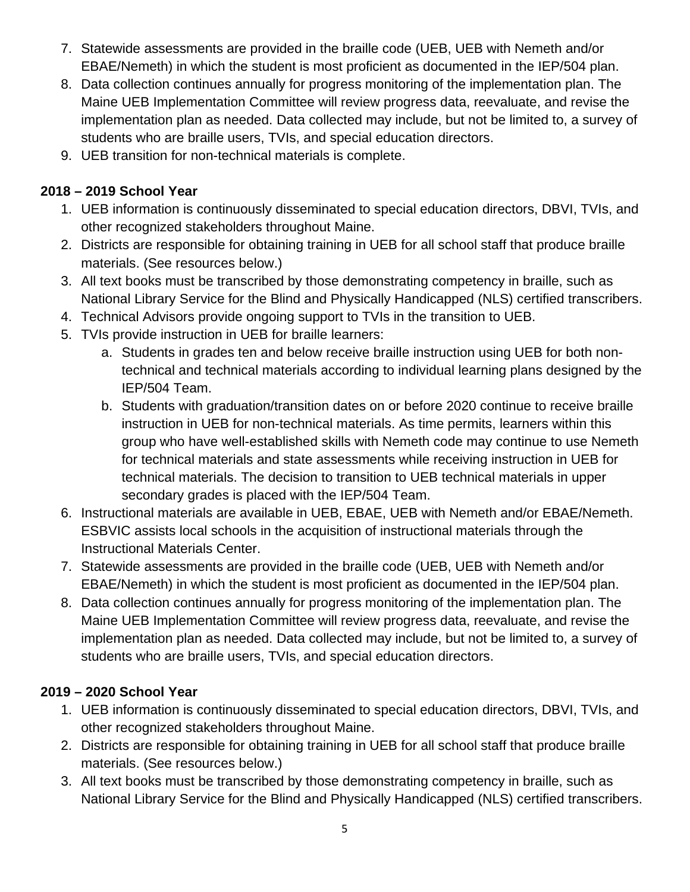- 7. Statewide assessments are provided in the braille code (UEB, UEB with Nemeth and/or EBAE/Nemeth) in which the student is most proficient as documented in the IEP/504 plan.
- 8. Data collection continues annually for progress monitoring of the implementation plan. The Maine UEB Implementation Committee will review progress data, reevaluate, and revise the implementation plan as needed. Data collected may include, but not be limited to, a survey of students who are braille users, TVIs, and special education directors.
- 9. UEB transition for non-technical materials is complete.

### **2018 – 2019 School Year**

- 1. UEB information is continuously disseminated to special education directors, DBVI, TVIs, and other recognized stakeholders throughout Maine.
- 2. Districts are responsible for obtaining training in UEB for all school staff that produce braille materials. (See resources below.)
- 3. All text books must be transcribed by those demonstrating competency in braille, such as National Library Service for the Blind and Physically Handicapped (NLS) certified transcribers.
- 4. Technical Advisors provide ongoing support to TVIs in the transition to UEB.
- 5. TVIs provide instruction in UEB for braille learners:
	- a. Students in grades ten and below receive braille instruction using UEB for both nontechnical and technical materials according to individual learning plans designed by the IEP/504 Team.
	- b. Students with graduation/transition dates on or before 2020 continue to receive braille instruction in UEB for non-technical materials. As time permits, learners within this group who have well-established skills with Nemeth code may continue to use Nemeth for technical materials and state assessments while receiving instruction in UEB for technical materials. The decision to transition to UEB technical materials in upper secondary grades is placed with the IEP/504 Team.
- 6. Instructional materials are available in UEB, EBAE, UEB with Nemeth and/or EBAE/Nemeth. ESBVIC assists local schools in the acquisition of instructional materials through the Instructional Materials Center.
- 7. Statewide assessments are provided in the braille code (UEB, UEB with Nemeth and/or EBAE/Nemeth) in which the student is most proficient as documented in the IEP/504 plan.
- 8. Data collection continues annually for progress monitoring of the implementation plan. The Maine UEB Implementation Committee will review progress data, reevaluate, and revise the implementation plan as needed. Data collected may include, but not be limited to, a survey of students who are braille users, TVIs, and special education directors.

## **2019 – 2020 School Year**

- 1. UEB information is continuously disseminated to special education directors, DBVI, TVIs, and other recognized stakeholders throughout Maine.
- 2. Districts are responsible for obtaining training in UEB for all school staff that produce braille materials. (See resources below.)
- 3. All text books must be transcribed by those demonstrating competency in braille, such as National Library Service for the Blind and Physically Handicapped (NLS) certified transcribers.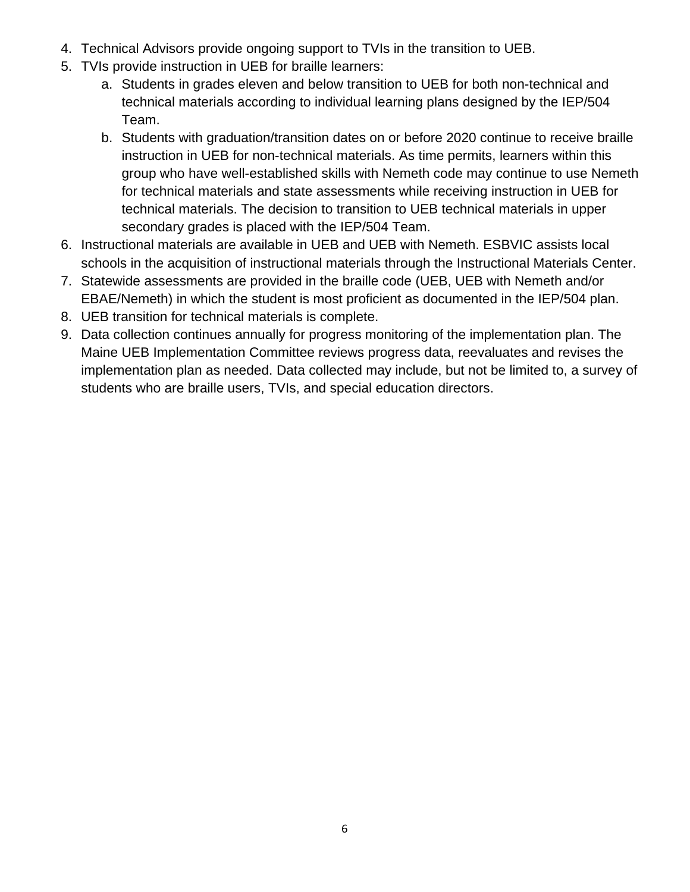- 4. Technical Advisors provide ongoing support to TVIs in the transition to UEB.
- 5. TVIs provide instruction in UEB for braille learners:
	- a. Students in grades eleven and below transition to UEB for both non-technical and technical materials according to individual learning plans designed by the IEP/504 Team.
	- b. Students with graduation/transition dates on or before 2020 continue to receive braille instruction in UEB for non-technical materials. As time permits, learners within this group who have well-established skills with Nemeth code may continue to use Nemeth for technical materials and state assessments while receiving instruction in UEB for technical materials. The decision to transition to UEB technical materials in upper secondary grades is placed with the IEP/504 Team.
- 6. Instructional materials are available in UEB and UEB with Nemeth. ESBVIC assists local schools in the acquisition of instructional materials through the Instructional Materials Center.
- 7. Statewide assessments are provided in the braille code (UEB, UEB with Nemeth and/or EBAE/Nemeth) in which the student is most proficient as documented in the IEP/504 plan.
- 8. UEB transition for technical materials is complete.
- 9. Data collection continues annually for progress monitoring of the implementation plan. The Maine UEB Implementation Committee reviews progress data, reevaluates and revises the implementation plan as needed. Data collected may include, but not be limited to, a survey of students who are braille users, TVIs, and special education directors.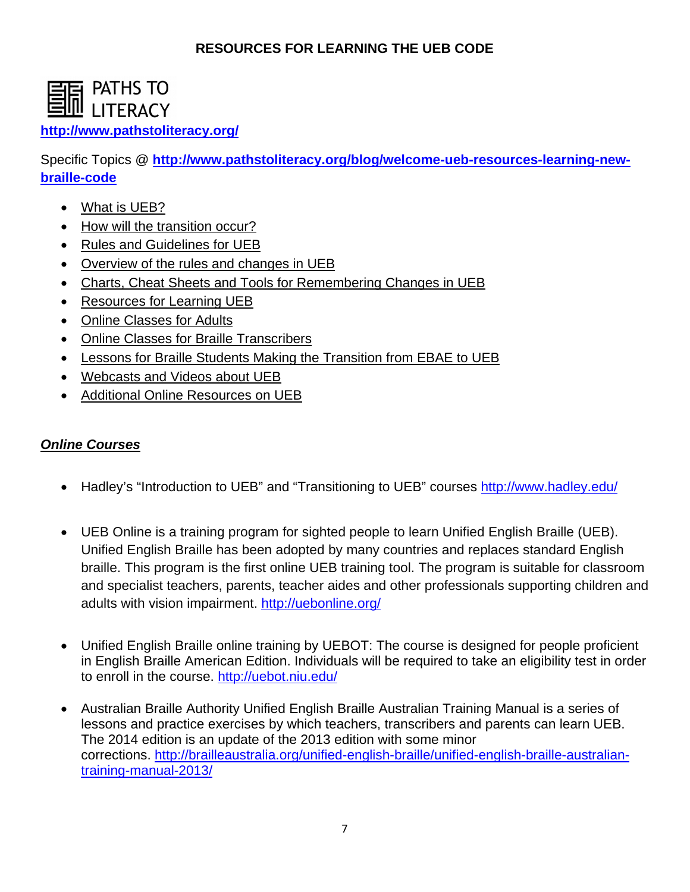### **RESOURCES FOR LEARNING THE UEB CODE**



### **<http://www.pathstoliteracy.org/>**

Specific Topics @ **[http://www.pathstoliteracy.org/blog/welcome-ueb-resources-learning-new](http://www.pathstoliteracy.org/blog/welcome-ueb-resources-learning-new-braille-code)[braille-code](http://www.pathstoliteracy.org/blog/welcome-ueb-resources-learning-new-braille-code)**

- What is UEB?
- How will the transition occur?
- Rules and Guidelines for UEB
- Overview of the rules and changes in UEB
- Charts, Cheat Sheets and Tools for Remembering Changes in UEB
- Resources for Learning UEB
- Online Classes for Adults
- Online Classes for Braille Transcribers
- Lessons for Braille Students Making the Transition from EBAE to UEB
- Webcasts and Videos about UEB
- Additional Online Resources on UEB

### *Online Courses*

- Hadley's "Introduction to UEB" and "Transitioning to UEB" courses<http://www.hadley.edu/>
- UEB Online is a training program for sighted people to learn Unified English Braille (UEB). Unified English Braille has been adopted by many countries and replaces standard English braille. This program is the first online UEB training tool. The program is suitable for classroom and specialist teachers, parents, teacher aides and other professionals supporting children and adults with vision impairment.<http://uebonline.org/>
- Unified English Braille online training by UEBOT: The course is designed for people proficient in English Braille American Edition. Individuals will be required to take an eligibility test in order to enroll in the course.<http://uebot.niu.edu/>
- Australian Braille Authority Unified English Braille Australian Training Manual is a series of lessons and practice exercises by which teachers, transcribers and parents can learn UEB. The 2014 edition is an update of the 2013 edition with some minor corrections. [http://brailleaustralia.org/unified-english-braille/unified-english-braille-australian](http://brailleaustralia.org/unified-english-braille/unified-english-braille-australian-training-manual-2013/)[training-manual-2013/](http://brailleaustralia.org/unified-english-braille/unified-english-braille-australian-training-manual-2013/)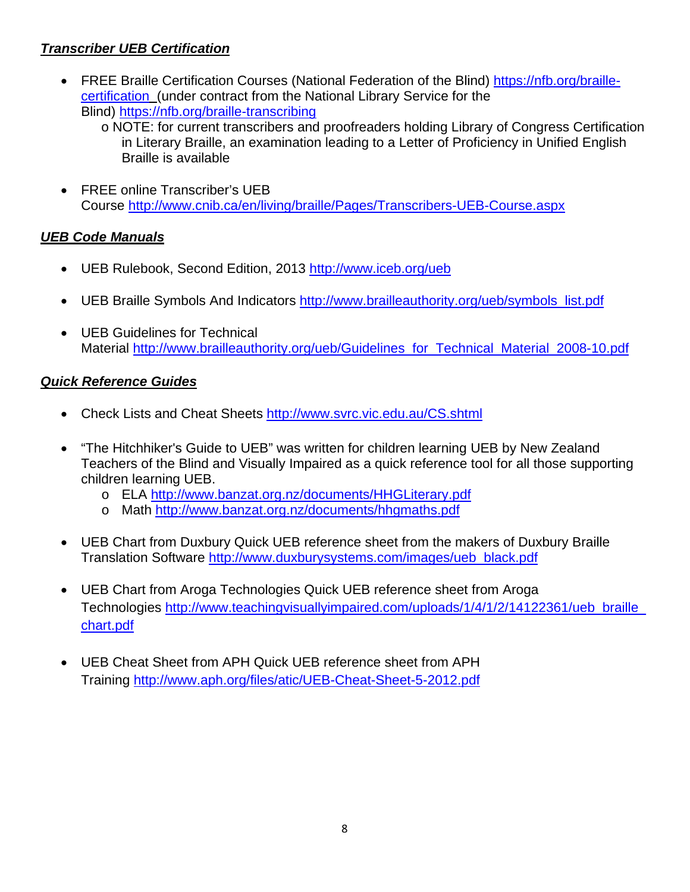### *Transcriber UEB Certification*

- FREE Braille Certification Courses (National Federation of the Blind) [https://nfb.org/braille](https://nfb.org/braille-certification)[certification](https://nfb.org/braille-certification) (under contract from the National Library Service for the Blind)<https://nfb.org/braille-transcribing>
	- o NOTE: for current transcribers and proofreaders holding Library of Congress Certification in Literary Braille, an examination leading to a Letter of Proficiency in Unified English Braille is available
- FREE online Transcriber's UEB Course<http://www.cnib.ca/en/living/braille/Pages/Transcribers-UEB-Course.aspx>

### *UEB Code Manuals*

- UEB Rulebook, Second Edition, 2013<http://www.iceb.org/ueb>
- UEB Braille Symbols And Indicators [http://www.brailleauthority.org/ueb/symbols\\_list.pdf](http://www.brailleauthority.org/ueb/symbols_list.pdf)
- UEB Guidelines for Technical Material [http://www.brailleauthority.org/ueb/Guidelines\\_for\\_Technical\\_Material\\_2008-10.pdf](http://www.brailleauthority.org/ueb/Guidelines_for_Technical_Material_2008-10.pdf)

### *Quick Reference Guides*

- Check Lists and Cheat Sheets<http://www.svrc.vic.edu.au/CS.shtml>
- "The Hitchhiker's Guide to UEB" was written for children learning UEB by New Zealand Teachers of the Blind and Visually Impaired as a quick reference tool for all those supporting children learning UEB.
	- o ELA<http://www.banzat.org.nz/documents/HHGLiterary.pdf>
	- o Math<http://www.banzat.org.nz/documents/hhgmaths.pdf>
- UEB Chart from Duxbury Quick UEB reference sheet from the makers of Duxbury Braille Translation Software [http://www.duxburysystems.com/images/ueb\\_black.pdf](http://www.duxburysystems.com/images/ueb_black.pdf)
- UEB Chart from Aroga Technologies Quick UEB reference sheet from Aroga Technologies [http://www.teachingvisuallyimpaired.com/uploads/1/4/1/2/14122361/ueb\\_braille\\_](http://www.teachingvisuallyimpaired.com/uploads/1/4/1/2/14122361/ueb_braille_chart.pdf) [chart.pdf](http://www.teachingvisuallyimpaired.com/uploads/1/4/1/2/14122361/ueb_braille_chart.pdf)
- UEB Cheat Sheet from APH Quick UEB reference sheet from APH Training<http://www.aph.org/files/atic/UEB-Cheat-Sheet-5-2012.pdf>